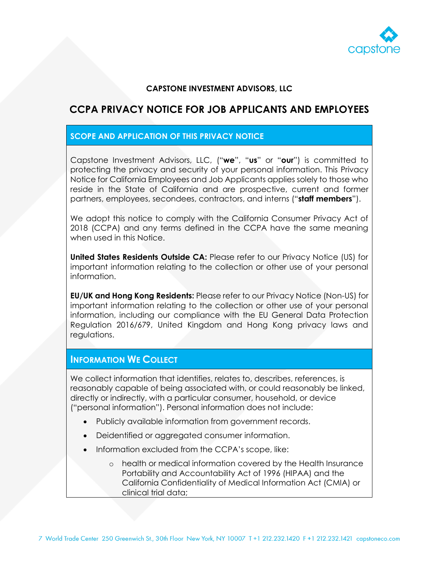

### **CAPSTONE INVESTMENT ADVISORS, LLC**

# **CCPA PRIVACY NOTICE FOR JOB APPLICANTS AND EMPLOYEES**

### **SCOPE AND APPLICATION OF THIS PRIVACY NOTICE**

Capstone Investment Advisors, LLC, ("**we**", "**us**" or "**our**") is committed to protecting the privacy and security of your personal information. This Privacy Notice for California Employees and Job Applicants applies solely to those who reside in the State of California and are prospective, current and former partners, employees, secondees, contractors, and interns ("**staff members**").

We adopt this notice to comply with the California Consumer Privacy Act of 2018 (CCPA) and any terms defined in the CCPA have the same meaning when used in this Notice.

**United States Residents Outside CA:** Please refer to our Privacy Notice (US) for important information relating to the collection or other use of your personal information.

**EU/UK and Hong Kong Residents:** Please refer to our Privacy Notice (Non-US) for important information relating to the collection or other use of your personal information, including our compliance with the EU General Data Protection Regulation 2016/679, United Kingdom and Hong Kong privacy laws and regulations.

### **INFORMATION WE COLLECT**

We collect information that identifies, relates to, describes, references, is reasonably capable of being associated with, or could reasonably be linked, directly or indirectly, with a particular consumer, household, or device ("personal information"). Personal information does not include:

- Publicly available information from government records.
- Deidentified or aggregated consumer information.
- Information excluded from the CCPA's scope, like:
	- o health or medical information covered by the Health Insurance Portability and Accountability Act of 1996 (HIPAA) and the California Confidentiality of Medical Information Act (CMIA) or clinical trial data;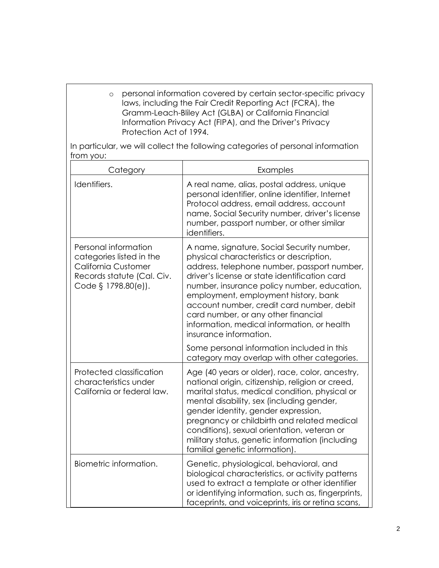o personal information covered by certain sector-specific privacy laws, including the Fair Credit Reporting Act (FCRA), the Gramm-Leach-Bliley Act (GLBA) or California Financial Information Privacy Act (FIPA), and the Driver's Privacy Protection Act of 1994.

In particular, we will collect the following categories of personal information from you:

| Category                                                                                                                            | Examples                                                                                                                                                                                                                                                                                                                                                                                                                                   |
|-------------------------------------------------------------------------------------------------------------------------------------|--------------------------------------------------------------------------------------------------------------------------------------------------------------------------------------------------------------------------------------------------------------------------------------------------------------------------------------------------------------------------------------------------------------------------------------------|
| Identifiers.                                                                                                                        | A real name, alias, postal address, unique<br>personal identifier, online identifier, Internet<br>Protocol address, email address, account<br>name, Social Security number, driver's license<br>number, passport number, or other similar<br>identifiers.                                                                                                                                                                                  |
| Personal information<br>categories listed in the<br><b>California Customer</b><br>Records statute (Cal. Civ.<br>Code § 1798.80(e)). | A name, signature, Social Security number,<br>physical characteristics or description,<br>address, telephone number, passport number,<br>driver's license or state identification card<br>number, insurance policy number, education,<br>employment, employment history, bank<br>account number, credit card number, debit<br>card number, or any other financial<br>information, medical information, or health<br>insurance information. |
|                                                                                                                                     | Some personal information included in this<br>category may overlap with other categories.                                                                                                                                                                                                                                                                                                                                                  |
| Protected classification<br>characteristics under<br>California or federal law.                                                     | Age (40 years or older), race, color, ancestry,<br>national origin, citizenship, religion or creed,<br>marital status, medical condition, physical or<br>mental disability, sex (including gender,<br>gender identity, gender expression,<br>pregnancy or childbirth and related medical<br>conditions), sexual orientation, veteran or<br>military status, genetic information (including<br>familial genetic information).               |
| Biometric information.                                                                                                              | Genetic, physiological, behavioral, and<br>biological characteristics, or activity patterns<br>used to extract a template or other identifier<br>or identifying information, such as, fingerprints,<br>faceprints, and voiceprints, iris or retina scans,                                                                                                                                                                                  |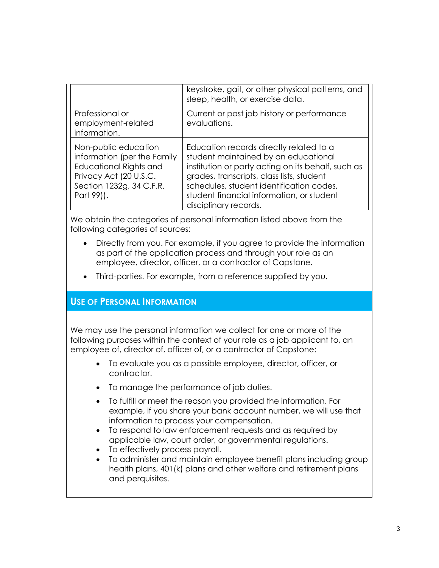|                                                                                                                                                   | keystroke, gait, or other physical patterns, and<br>sleep, health, or exercise data.                                                                                                                                                                                                                 |
|---------------------------------------------------------------------------------------------------------------------------------------------------|------------------------------------------------------------------------------------------------------------------------------------------------------------------------------------------------------------------------------------------------------------------------------------------------------|
| Professional or<br>employment-related<br>information.                                                                                             | Current or past job history or performance<br>evaluations.                                                                                                                                                                                                                                           |
| Non-public education<br>information (per the Family<br>Educational Rights and<br>Privacy Act (20 U.S.C.<br>Section 1232g, 34 C.F.R.<br>Part 99)). | Education records directly related to a<br>student maintained by an educational<br>institution or party acting on its behalf, such as<br>grades, transcripts, class lists, student<br>schedules, student identification codes,<br>student financial information, or student<br>disciplinary records. |

We obtain the categories of personal information listed above from the following categories of sources:

- Directly from you. For example, if you agree to provide the information as part of the application process and through your role as an employee, director, officer, or a contractor of Capstone.
- Third-parties. For example, from a reference supplied by you.

## **USE OF PERSONAL INFORMATION**

We may use the personal information we collect for one or more of the following purposes within the context of your role as a job applicant to, an employee of, director of, officer of, or a contractor of Capstone:

- To evaluate you as a possible employee, director, officer, or contractor.
- To manage the performance of job duties.
- To fulfill or meet the reason you provided the information. For example, if you share your bank account number, we will use that information to process your compensation.
- To respond to law enforcement requests and as required by applicable law, court order, or governmental regulations.
- To effectively process payroll.
- To administer and maintain employee benefit plans including group health plans, 401(k) plans and other welfare and retirement plans and perquisites.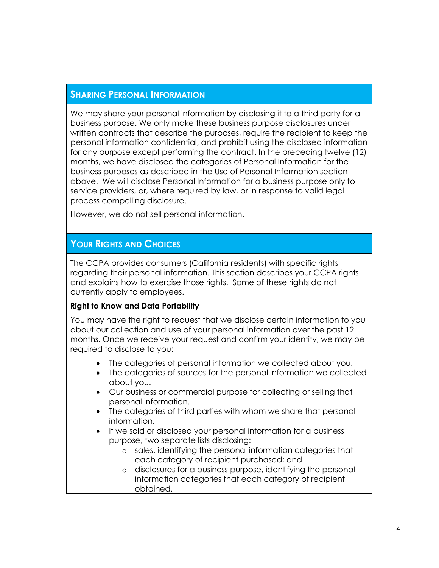# **SHARING PERSONAL INFORMATION**

We may share your personal information by disclosing it to a third party for a business purpose. We only make these business purpose disclosures under written contracts that describe the purposes, require the recipient to keep the personal information confidential, and prohibit using the disclosed information for any purpose except performing the contract. In the preceding twelve (12) months, we have disclosed the categories of Personal Information for the business purposes as described in the Use of Personal Information section above. We will disclose Personal Information for a business purpose only to service providers, or, where required by law, or in response to valid legal process compelling disclosure.

However, we do not sell personal information.

# **YOUR RIGHTS AND CHOICES**

The CCPA provides consumers (California residents) with specific rights regarding their personal information. This section describes your CCPA riahts and explains how to exercise those rights. Some of these rights do not currently apply to employees.

#### **Right to Know and Data Portability**

You may have the right to request that we disclose certain information to you about our collection and use of your personal information over the past 12 months. Once we receive your request and confirm your identity, we may be required to disclose to you:

- The categories of personal information we collected about you.
- The categories of sources for the personal information we collected about you.
- Our business or commercial purpose for collecting or selling that personal information.
- The categories of third parties with whom we share that personal information.
- If we sold or disclosed your personal information for a business purpose, two separate lists disclosing:
	- o sales, identifying the personal information categories that each category of recipient purchased; and
	- o disclosures for a business purpose, identifying the personal information categories that each category of recipient obtained.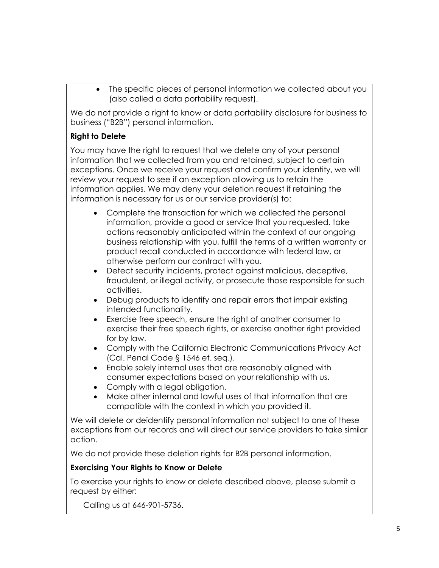The specific pieces of personal information we collected about you (also called a data portability request).

We do not provide a right to know or data portability disclosure for business to business ("B2B") personal information.

## **Right to Delete**

You may have the right to request that we delete any of your personal information that we collected from you and retained, subject to certain exceptions. Once we receive your request and confirm your identity, we will review your request to see if an exception allowing us to retain the information applies. We may deny your deletion request if retaining the information is necessary for us or our service provider(s) to:

- Complete the transaction for which we collected the personal information, provide a good or service that you requested, take actions reasonably anticipated within the context of our ongoing business relationship with you, fulfill the terms of a written warranty or product recall conducted in accordance with federal law, or otherwise perform our contract with you.
- Detect security incidents, protect against malicious, deceptive, fraudulent, or illegal activity, or prosecute those responsible for such activities.
- Debug products to identify and repair errors that impair existing intended functionality.
- Exercise free speech, ensure the right of another consumer to exercise their free speech rights, or exercise another right provided for by law.
- Comply with the California Electronic Communications Privacy Act (Cal. Penal Code § 1546 et. seq.).
- Enable solely internal uses that are reasonably aligned with consumer expectations based on your relationship with us.
- Comply with a legal obligation.
- Make other internal and lawful uses of that information that are compatible with the context in which you provided it.

We will delete or deidentify personal information not subject to one of these exceptions from our records and will direct our service providers to take similar action.

We do not provide these deletion rights for B2B personal information.

# **Exercising Your Rights to Know or Delete**

To exercise your rights to know or delete described above, please submit a request by either:

Calling us at 646-901-5736.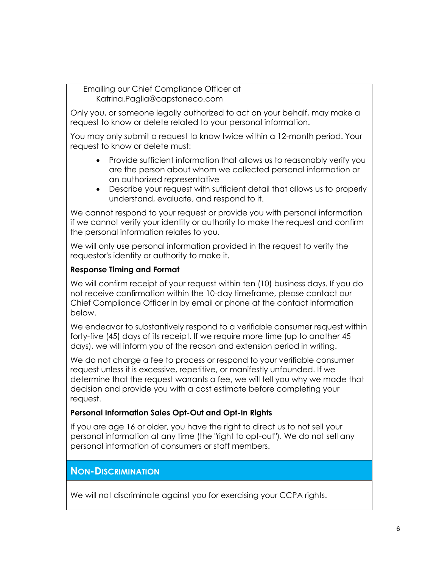Emailing our Chief Compliance Officer at [Katrina.Paglia@capstoneco.com](mailto:Katrina.Paglia@capstoneco.com)

Only you, or someone legally authorized to act on your behalf, may make a request to know or delete related to your personal information.

You may only submit a request to know twice within a 12-month period. Your request to know or delete must:

- Provide sufficient information that allows us to reasonably verify you are the person about whom we collected personal information or an authorized representative
- Describe your request with sufficient detail that allows us to properly understand, evaluate, and respond to it.

We cannot respond to your request or provide you with personal information if we cannot verify your identity or authority to make the request and confirm the personal information relates to you.

We will only use personal information provided in the request to verify the requestor's identity or authority to make it.

## **Response Timing and Format**

We will confirm receipt of your request within ten (10) business days. If you do not receive confirmation within the 10-day timeframe, please contact our Chief Compliance Officer in by email or phone at the contact information below.

We endeavor to substantively respond to a verifiable consumer request within forty-five (45) days of its receipt. If we require more time (up to another 45 days), we will inform you of the reason and extension period in writing.

We do not charge a fee to process or respond to your verifiable consumer request unless it is excessive, repetitive, or manifestly unfounded. If we determine that the request warrants a fee, we will tell you why we made that decision and provide you with a cost estimate before completing your request.

## **Personal Information Sales Opt-Out and Opt-In Rights**

If you are age 16 or older, you have the right to direct us to not sell your personal information at any time (the "right to opt-out"). We do not sell any personal information of consumers or staff members.

# **NON-DISCRIMINATION**

We will not discriminate against you for exercising your CCPA rights.